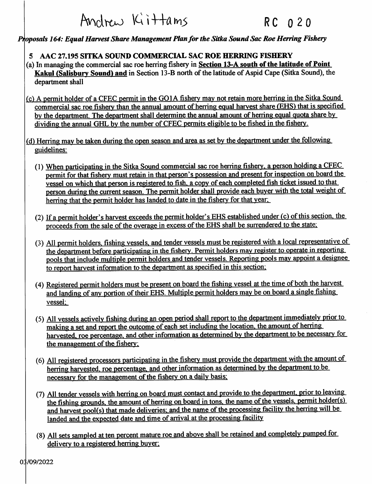Andrew Kittams

## Proposals 164: Equal Harvest Share Management Plan for the Sitka Sound Sac Roe Herring Fishery

- 5 AAC 27.195 SITKA SOUND COMMERCIAL SAC ROE HERRING FISHERY
- (a) In managing the commercial sac roe herring fishery in Section 13-A south of the latitude of Point Kakul (Salisbury Sound) and in Section 13-B north of the latitude of Aspid Cape (Sitka Sound), the department shall
- $(c)$  A permit holder of a CFEC permit in the GO1A fishery may not retain more herring in the Sitka Sound commercial sac roe fishery than the annual amount of herring equal harvest share (EHS) that is specified bv the department. The department shall determine the annual amount of herring equal quota share by dividing the annual GHL bv the number of CFEC permits eligible to be fished in the fishery,
- (d) Herring mav be taken during the open season and area as set bv the department under the following guidelines:
	- (1) When participating in the Sitka Sound commercial sac roe herring fishery, a person holding a CFEC permit for that fishery must retain in that person's possession and present for inspection on board the vessel on which that person is registered to fish, a coov of each completed fish ticket issued to that person during the current season. The permit holder shall provide each buyer with the total weight of herring that the permit holder has landed to date in the fishery for that year;
	- (2) If a permit holder's harvest exceeds the permit holder's EHS established under (c) of this section, the proceeds from the sale of the overage in excess of the EHS shall be surrendered to the state;
	- (3) All permit holders, fishing vessels, and tender vessels must be registered with a local representative of the department before participating in the fishery. Permit holders mav register to operate in reporting pools that include multiple permit holders and tender vessels. Reporting pools may appoint a designee to report harvest information to the department as specified in this section;
	- (4) Registered permit holders must be present on board the fishing vessel at the time of both the harvest and landing of anv portion of their EHS. Multiple permit holders mav be on board a single fishing vessel:
	- (5) All vessels actively fishing during an open period shall report to the department immediately prior to making a set and report the outcome of each set including the location, the amount of herring harvested, roe percentage, and other information as determined by the department to be necessary for the management of the fishery:
	- (6) All registered processors participating in the fishery must provide the department with the amount of herring harvested, roe percentage, and other information as determined by the department to be necessary for the management of the fishery on a daily basis:
	- (7) All tender vessels with herring on board must contact and provide to the department, prior to leaving the fishing grounds, the amount of herring on board in tons, the name of the vessels, permit holder(s) and harvest pool(s) that made deliveries; and the name of the processing facility the herring will be landed and the expected date and time of arrival at the processing facility
	- (8) All sets sampled at ten percent mature roe and above shall be retained and completely pumped for delivery to a registered herring buyer: